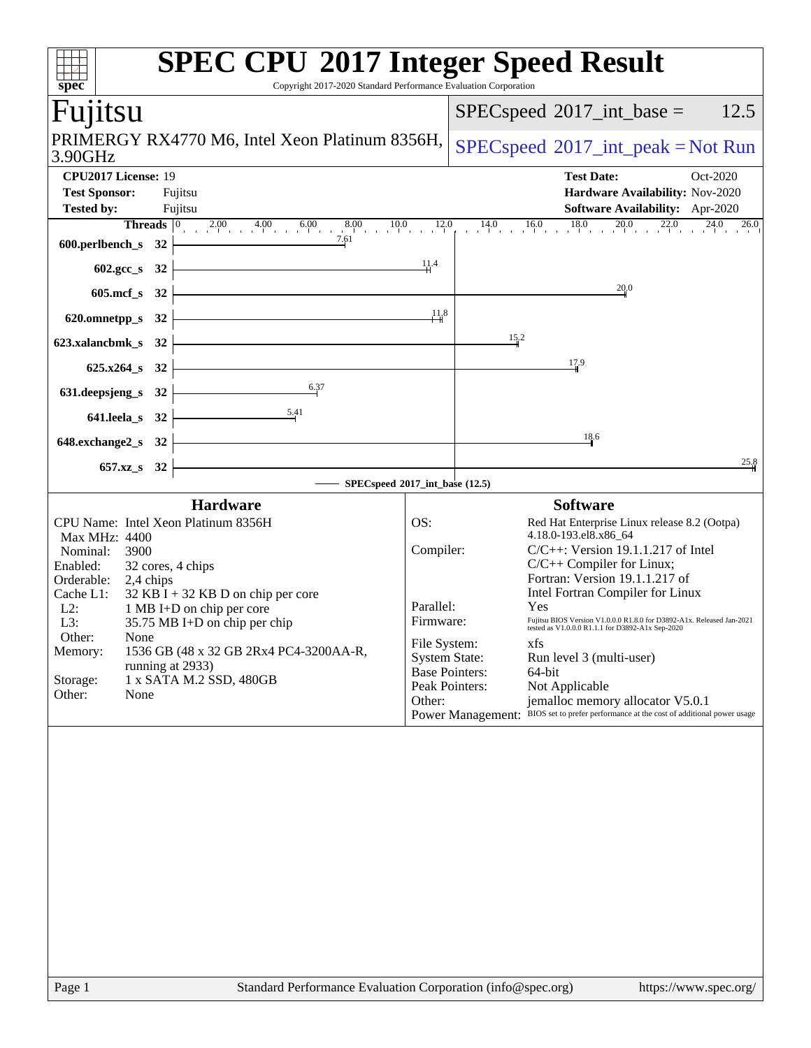| $spec^*$                                                                                     | Copyright 2017-2020 Standard Performance Evaluation Corporation | <b>SPEC CPU®2017 Integer Speed Result</b>                                                                                 |
|----------------------------------------------------------------------------------------------|-----------------------------------------------------------------|---------------------------------------------------------------------------------------------------------------------------|
| Fujitsu                                                                                      |                                                                 | 12.5<br>$SPEC speed^{\circ}2017\_int\_base =$                                                                             |
| PRIMERGY RX4770 M6, Intel Xeon Platinum 8356H,<br>3.90GHz                                    |                                                                 | $SPEC speed^{\circ}2017\_int\_peak = Not Run$                                                                             |
| CPU2017 License: 19                                                                          |                                                                 | <b>Test Date:</b><br>Oct-2020                                                                                             |
| <b>Test Sponsor:</b><br>Fujitsu                                                              |                                                                 | Hardware Availability: Nov-2020                                                                                           |
| <b>Tested by:</b><br>Fujitsu                                                                 |                                                                 | Software Availability: Apr-2020                                                                                           |
| <b>Threads</b> $\begin{array}{ccc} 0 & 2.00 & 4.00 & 6.00 \end{array}$<br>600.perlbench_s 32 | 8.00<br>$0 \t 10.0 \t 12.0$<br>7.61                             | $14.0$ $16.0$ $18.0$ $20.0$ $22.0$ $24.0$ $26.0$                                                                          |
| $602 \text{.} \text{gcc}\text{.}$ s<br>32                                                    | 1,1,4                                                           |                                                                                                                           |
| $605$ .mcf $_s$<br>32                                                                        |                                                                 | 20.0                                                                                                                      |
| 620.omnetpp_s<br>32                                                                          | $\frac{11}{8}$                                                  |                                                                                                                           |
| 623.xalancbmk_s<br>32                                                                        |                                                                 | $15^{2}$                                                                                                                  |
| $625.x264$ s<br>32                                                                           |                                                                 | 17.9                                                                                                                      |
| 631.deepsjeng_s<br>32                                                                        | 6.37                                                            |                                                                                                                           |
| 5.41<br>641.leela_s<br>32                                                                    |                                                                 |                                                                                                                           |
| 648.exchange2_s<br>32                                                                        |                                                                 | 18.6                                                                                                                      |
| $657.xz$ <sub>S</sub><br>32                                                                  |                                                                 | 25.8                                                                                                                      |
|                                                                                              | SPECspeed®2017_int_base (12.5)                                  |                                                                                                                           |
| <b>Hardware</b>                                                                              |                                                                 | <b>Software</b>                                                                                                           |
| CPU Name: Intel Xeon Platinum 8356H<br>Max MHz: 4400                                         | OS:                                                             | Red Hat Enterprise Linux release 8.2 (Ootpa)<br>4.18.0-193.el8.x86_64                                                     |
| Nominal:<br>3900                                                                             | Compiler:                                                       | $C/C++$ : Version 19.1.1.217 of Intel                                                                                     |
| Enabled:<br>32 cores, 4 chips                                                                |                                                                 | $C/C++$ Compiler for Linux;                                                                                               |
| Orderable:<br>2,4 chips<br>Cache L1:                                                         |                                                                 | Fortran: Version 19.1.1.217 of<br>Intel Fortran Compiler for Linux                                                        |
| $32$ KB I + 32 KB D on chip per core<br>1 MB I+D on chip per core<br>$L2$ :                  | Parallel:                                                       | Yes                                                                                                                       |
| L3:<br>35.75 MB I+D on chip per chip                                                         | Firmware:                                                       | Fujitsu BIOS Version V1.0.0.0 R1.8.0 for D3892-A1x. Released Jan-2021<br>tested as V1.0.0.0 R1.1.1 for D3892-A1x Sep-2020 |
| Other:<br>None                                                                               | File System:                                                    | xfs                                                                                                                       |
| 1536 GB (48 x 32 GB 2Rx4 PC4-3200AA-R,<br>Memory:<br>running at 2933)                        | <b>System State:</b>                                            | Run level 3 (multi-user)                                                                                                  |
| 1 x SATA M.2 SSD, 480GB<br>Storage:                                                          | <b>Base Pointers:</b>                                           | 64-bit                                                                                                                    |
| Other:<br>None                                                                               | Peak Pointers:<br>Other:                                        | Not Applicable<br>jemalloc memory allocator V5.0.1                                                                        |
|                                                                                              |                                                                 | BIOS set to prefer performance at the cost of additional power usage<br><b>Power Management:</b>                          |
|                                                                                              |                                                                 |                                                                                                                           |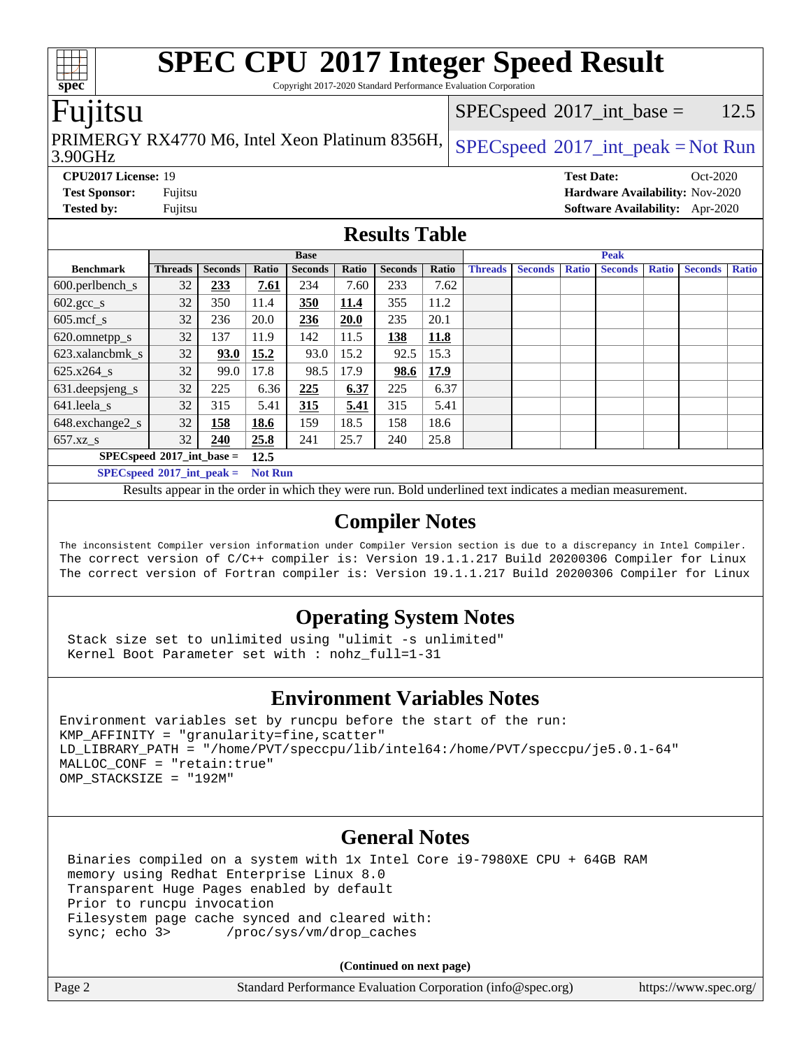Copyright 2017-2020 Standard Performance Evaluation Corporation

### Fujitsu

3.90GHz PRIMERGY RX4770 M6, Intel Xeon Platinum 8356H,  $SPEC speed^{\circ}2017\_int\_peak = Not Run$ 

 $SPEC speed^{\circ}2017\_int\_base = 12.5$ 

**[Tested by:](http://www.spec.org/auto/cpu2017/Docs/result-fields.html#Testedby)** Fujitsu **[Software Availability:](http://www.spec.org/auto/cpu2017/Docs/result-fields.html#SoftwareAvailability)** Apr-2020

**[CPU2017 License:](http://www.spec.org/auto/cpu2017/Docs/result-fields.html#CPU2017License)** 19 **[Test Date:](http://www.spec.org/auto/cpu2017/Docs/result-fields.html#TestDate)** Oct-2020 **[Test Sponsor:](http://www.spec.org/auto/cpu2017/Docs/result-fields.html#TestSponsor)** Fujitsu **[Hardware Availability:](http://www.spec.org/auto/cpu2017/Docs/result-fields.html#HardwareAvailability)** Nov-2020

### **[Results Table](http://www.spec.org/auto/cpu2017/Docs/result-fields.html#ResultsTable)**

|                                    | <b>Base</b>    |                |       |                |       | <b>Peak</b>    |       |                |                |              |                |              |                |              |
|------------------------------------|----------------|----------------|-------|----------------|-------|----------------|-------|----------------|----------------|--------------|----------------|--------------|----------------|--------------|
| <b>Benchmark</b>                   | <b>Threads</b> | <b>Seconds</b> | Ratio | <b>Seconds</b> | Ratio | <b>Seconds</b> | Ratio | <b>Threads</b> | <b>Seconds</b> | <b>Ratio</b> | <b>Seconds</b> | <b>Ratio</b> | <b>Seconds</b> | <b>Ratio</b> |
| $600.$ perlbench $\mathsf{S}$      | 32             | 233            | 7.61  | 234            | 7.60  | 233            | 7.62  |                |                |              |                |              |                |              |
| $602.\text{gcc}\_\text{s}$         | 32             | 350            | 11.4  | 350            | 11.4  | 355            | 11.2  |                |                |              |                |              |                |              |
| $605$ .mcf s                       | 32             | 236            | 20.0  | 236            | 20.0  | 235            | 20.1  |                |                |              |                |              |                |              |
| 620.omnetpp_s                      | 32             | 137            | 11.9  | 142            | 11.5  | 138            | 11.8  |                |                |              |                |              |                |              |
| 623.xalancbmk s                    | 32             | 93.0           | 15.2  | 93.0           | 15.2  | 92.5           | 15.3  |                |                |              |                |              |                |              |
| $625.x264$ s                       | 32             | 99.0           | 17.8  | 98.5           | 17.9  | 98.6           | 17.9  |                |                |              |                |              |                |              |
| 631.deepsjeng_s                    | 32             | 225            | 6.36  | 225            | 6.37  | 225            | 6.37  |                |                |              |                |              |                |              |
| 641.leela s                        | 32             | 315            | 5.41  | 315            | 5.41  | 315            | 5.41  |                |                |              |                |              |                |              |
| 648.exchange2_s                    | 32             | 158            | 18.6  | 159            | 18.5  | 158            | 18.6  |                |                |              |                |              |                |              |
| $657.xz$ s                         | 32             | 240            | 25.8  | 241            | 25.7  | 240            | 25.8  |                |                |              |                |              |                |              |
| $SPECspeed^{\circ}2017$ int base = |                |                | 12.5  |                |       |                |       |                |                |              |                |              |                |              |
|                                    |                |                |       |                |       |                |       |                |                |              |                |              |                |              |

**[SPECspeed](http://www.spec.org/auto/cpu2017/Docs/result-fields.html#SPECspeed2017intpeak)[2017\\_int\\_peak =](http://www.spec.org/auto/cpu2017/Docs/result-fields.html#SPECspeed2017intpeak) Not Run**

Results appear in the [order in which they were run.](http://www.spec.org/auto/cpu2017/Docs/result-fields.html#RunOrder) Bold underlined text [indicates a median measurement.](http://www.spec.org/auto/cpu2017/Docs/result-fields.html#Median)

### **[Compiler Notes](http://www.spec.org/auto/cpu2017/Docs/result-fields.html#CompilerNotes)**

The inconsistent Compiler version information under Compiler Version section is due to a discrepancy in Intel Compiler. The correct version of C/C++ compiler is: Version 19.1.1.217 Build 20200306 Compiler for Linux The correct version of Fortran compiler is: Version 19.1.1.217 Build 20200306 Compiler for Linux

### **[Operating System Notes](http://www.spec.org/auto/cpu2017/Docs/result-fields.html#OperatingSystemNotes)**

 Stack size set to unlimited using "ulimit -s unlimited" Kernel Boot Parameter set with : nohz\_full=1-31

### **[Environment Variables Notes](http://www.spec.org/auto/cpu2017/Docs/result-fields.html#EnvironmentVariablesNotes)**

Environment variables set by runcpu before the start of the run: KMP\_AFFINITY = "granularity=fine,scatter" LD\_LIBRARY\_PATH = "/home/PVT/speccpu/lib/intel64:/home/PVT/speccpu/je5.0.1-64" MALLOC\_CONF = "retain:true" OMP\_STACKSIZE = "192M"

### **[General Notes](http://www.spec.org/auto/cpu2017/Docs/result-fields.html#GeneralNotes)**

 Binaries compiled on a system with 1x Intel Core i9-7980XE CPU + 64GB RAM memory using Redhat Enterprise Linux 8.0 Transparent Huge Pages enabled by default Prior to runcpu invocation Filesystem page cache synced and cleared with: sync; echo 3> /proc/sys/vm/drop\_caches

**(Continued on next page)**

| Page 2 | Standard Performance Evaluation Corporation (info@spec.org) | https://www.spec.org/ |
|--------|-------------------------------------------------------------|-----------------------|

**[spec](http://www.spec.org/)**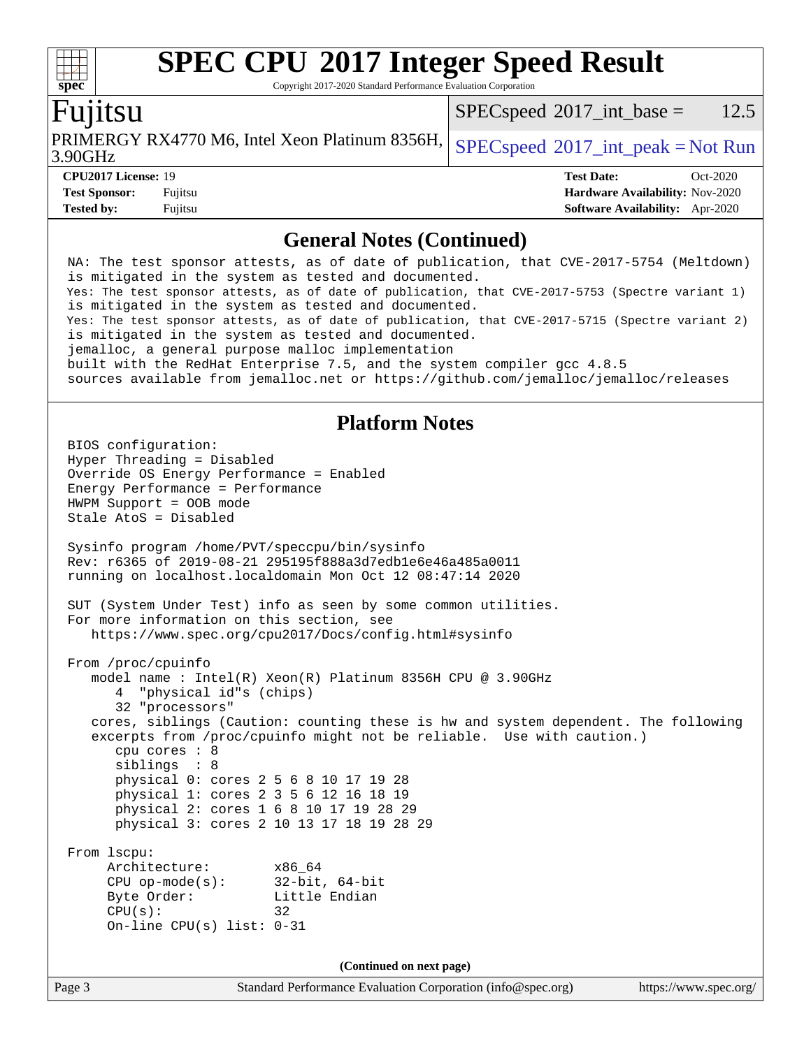Copyright 2017-2020 Standard Performance Evaluation Corporation

### Fujitsu

3.90GHz PRIMERGY RX4770 M6, Intel Xeon Platinum 8356H,  $SPEC speed$  [2017\\_int\\_peak = N](http://www.spec.org/auto/cpu2017/Docs/result-fields.html#SPECspeed2017intpeak)ot Run

 $SPEC speed^{\circ}2017\_int\_base = 12.5$ 

**[spec](http://www.spec.org/)**

 $+\ +$ 

**[Tested by:](http://www.spec.org/auto/cpu2017/Docs/result-fields.html#Testedby)** Fujitsu **[Software Availability:](http://www.spec.org/auto/cpu2017/Docs/result-fields.html#SoftwareAvailability)** Apr-2020

**[CPU2017 License:](http://www.spec.org/auto/cpu2017/Docs/result-fields.html#CPU2017License)** 19 **[Test Date:](http://www.spec.org/auto/cpu2017/Docs/result-fields.html#TestDate)** Oct-2020 **[Test Sponsor:](http://www.spec.org/auto/cpu2017/Docs/result-fields.html#TestSponsor)** Fujitsu **[Hardware Availability:](http://www.spec.org/auto/cpu2017/Docs/result-fields.html#HardwareAvailability)** Nov-2020

### **[General Notes \(Continued\)](http://www.spec.org/auto/cpu2017/Docs/result-fields.html#GeneralNotes)**

Page 3 Standard Performance Evaluation Corporation [\(info@spec.org\)](mailto:info@spec.org) <https://www.spec.org/> NA: The test sponsor attests, as of date of publication, that CVE-2017-5754 (Meltdown) is mitigated in the system as tested and documented. Yes: The test sponsor attests, as of date of publication, that CVE-2017-5753 (Spectre variant 1) is mitigated in the system as tested and documented. Yes: The test sponsor attests, as of date of publication, that CVE-2017-5715 (Spectre variant 2) is mitigated in the system as tested and documented. jemalloc, a general purpose malloc implementation built with the RedHat Enterprise 7.5, and the system compiler gcc 4.8.5 sources available from jemalloc.net or<https://github.com/jemalloc/jemalloc/releases> **[Platform Notes](http://www.spec.org/auto/cpu2017/Docs/result-fields.html#PlatformNotes)** BIOS configuration: Hyper Threading = Disabled Override OS Energy Performance = Enabled Energy Performance = Performance HWPM Support = OOB mode Stale AtoS = Disabled Sysinfo program /home/PVT/speccpu/bin/sysinfo Rev: r6365 of 2019-08-21 295195f888a3d7edb1e6e46a485a0011 running on localhost.localdomain Mon Oct 12 08:47:14 2020 SUT (System Under Test) info as seen by some common utilities. For more information on this section, see <https://www.spec.org/cpu2017/Docs/config.html#sysinfo> From /proc/cpuinfo model name : Intel(R) Xeon(R) Platinum 8356H CPU @ 3.90GHz 4 "physical id"s (chips) 32 "processors" cores, siblings (Caution: counting these is hw and system dependent. The following excerpts from /proc/cpuinfo might not be reliable. Use with caution.) cpu cores : 8 siblings : 8 physical 0: cores 2 5 6 8 10 17 19 28 physical 1: cores 2 3 5 6 12 16 18 19 physical 2: cores 1 6 8 10 17 19 28 29 physical 3: cores 2 10 13 17 18 19 28 29 From lscpu: Architecture: x86\_64 CPU op-mode(s): 32-bit, 64-bit Byte Order: Little Endian  $CPU(s):$  32 On-line CPU(s) list: 0-31 **(Continued on next page)**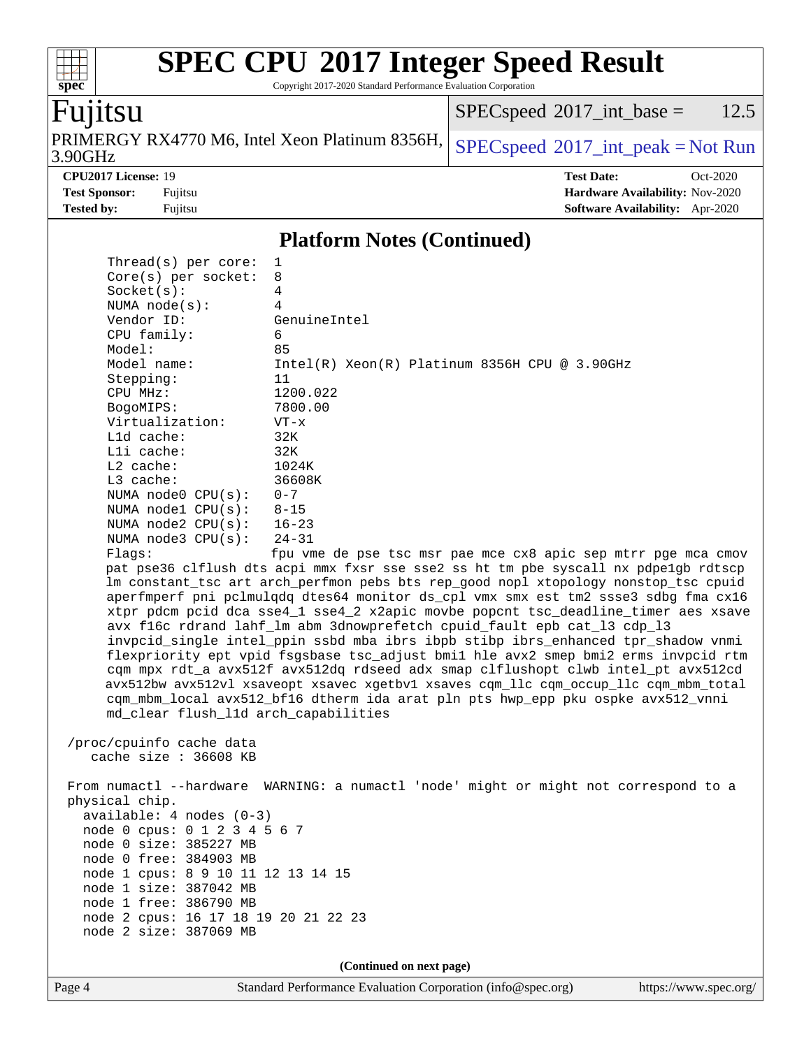Copyright 2017-2020 Standard Performance Evaluation Corporation

# Fujitsu

**[spec](http://www.spec.org/)**

 $\begin{matrix} \begin{matrix} \text{+} \text{+} \text{+} \text{+} \end{matrix} \end{matrix}$ 

3.90GHz PRIMERGY RX4770 M6, Intel Xeon Platinum 8356H,  $SPEC speed^{\circ}2017\_int\_peak = Not Run$ 

 $SPECspeed^{\circledcirc}2017\_int\_base = 12.5$  $SPECspeed^{\circledcirc}2017\_int\_base = 12.5$ 

**[CPU2017 License:](http://www.spec.org/auto/cpu2017/Docs/result-fields.html#CPU2017License)** 19 **[Test Date:](http://www.spec.org/auto/cpu2017/Docs/result-fields.html#TestDate)** Oct-2020 **[Test Sponsor:](http://www.spec.org/auto/cpu2017/Docs/result-fields.html#TestSponsor)** Fujitsu **[Hardware Availability:](http://www.spec.org/auto/cpu2017/Docs/result-fields.html#HardwareAvailability)** Nov-2020 **[Tested by:](http://www.spec.org/auto/cpu2017/Docs/result-fields.html#Testedby)** Fujitsu **[Software Availability:](http://www.spec.org/auto/cpu2017/Docs/result-fields.html#SoftwareAvailability)** Apr-2020

### **[Platform Notes \(Continued\)](http://www.spec.org/auto/cpu2017/Docs/result-fields.html#PlatformNotes)**

|                | Thread( $s$ ) per core:              | 1                                                                                    |
|----------------|--------------------------------------|--------------------------------------------------------------------------------------|
|                | $Core(s)$ per socket:                | 8                                                                                    |
|                | Socket(s):                           | 4                                                                                    |
|                | NUMA $node(s)$ :                     | 4                                                                                    |
|                | Vendor ID:                           | GenuineIntel                                                                         |
|                | CPU family:                          | 6                                                                                    |
|                | Model:                               | 85                                                                                   |
|                | Model name:                          | $Intel(R) Xeon(R) Platinum 8356H CPU @ 3.90GHz$                                      |
|                | Stepping:                            | 11                                                                                   |
|                | CPU MHz:                             | 1200.022                                                                             |
|                | BogoMIPS:                            | 7800.00                                                                              |
|                | Virtualization:                      | $VT - x$                                                                             |
|                | L1d cache:                           | 32K                                                                                  |
|                | Lli cache:                           | 32K                                                                                  |
|                | $L2$ cache:                          | 1024K                                                                                |
|                | $L3$ cache:                          | 36608K                                                                               |
|                | NUMA $node0$ $CPU(s)$ :              | $0 - 7$                                                                              |
|                | NUMA $node1$ $CPU(s)$ :              | $8 - 15$                                                                             |
|                | NUMA $node2$ $CPU(s):$               | $16 - 23$                                                                            |
|                | NUMA $node3$ $CPU(s):$               | $24 - 31$                                                                            |
|                | Flags:                               | fpu vme de pse tsc msr pae mce cx8 apic sep mtrr pge mca cmov                        |
|                |                                      | pat pse36 clflush dts acpi mmx fxsr sse sse2 ss ht tm pbe syscall nx pdpelgb rdtscp  |
|                |                                      | lm constant_tsc art arch_perfmon pebs bts rep_good nopl xtopology nonstop_tsc cpuid  |
|                |                                      | aperfmperf pni pclmulqdq dtes64 monitor ds_cpl vmx smx est tm2 ssse3 sdbg fma cx16   |
|                |                                      | xtpr pdcm pcid dca sse4_1 sse4_2 x2apic movbe popcnt tsc_deadline_timer aes xsave    |
|                |                                      | avx f16c rdrand lahf_lm abm 3dnowprefetch cpuid_fault epb cat_13 cdp_13              |
|                |                                      | invpcid_single intel_ppin ssbd mba ibrs ibpb stibp ibrs_enhanced tpr_shadow vnmi     |
|                |                                      | flexpriority ept vpid fsgsbase tsc_adjust bmil hle avx2 smep bmi2 erms invpcid rtm   |
|                |                                      | cqm mpx rdt_a avx512f avx512dq rdseed adx smap clflushopt clwb intel_pt avx512cd     |
|                |                                      | avx512bw avx512vl xsaveopt xsavec xgetbvl xsaves cqm_llc cqm_occup_llc cqm_mbm_total |
|                |                                      | cqm_mbm_local avx512_bf16 dtherm ida arat pln pts hwp_epp pku ospke avx512_vnni      |
|                | md_clear flush_l1d arch_capabilities |                                                                                      |
|                |                                      |                                                                                      |
|                | /proc/cpuinfo cache data             |                                                                                      |
|                | cache size : $36608$ KB              |                                                                                      |
|                |                                      |                                                                                      |
|                |                                      | From numactl --hardware WARNING: a numactl 'node' might or might not correspond to a |
| physical chip. |                                      |                                                                                      |
|                | $available: 4 nodes (0-3)$           |                                                                                      |
|                | node 0 cpus: 0 1 2 3 4 5 6 7         |                                                                                      |
|                | node 0 size: 385227 MB               |                                                                                      |
|                | node 0 free: 384903 MB               |                                                                                      |
|                | node 1 cpus: 8 9 10 11 12 13 14 15   |                                                                                      |
|                | node 1 size: 387042 MB               |                                                                                      |
|                | node 1 free: 386790 MB               |                                                                                      |
|                | node 2 cpus: 16 17 18 19 20 21 22 23 |                                                                                      |
|                | node 2 size: 387069 MB               |                                                                                      |
|                |                                      |                                                                                      |

**(Continued on next page)**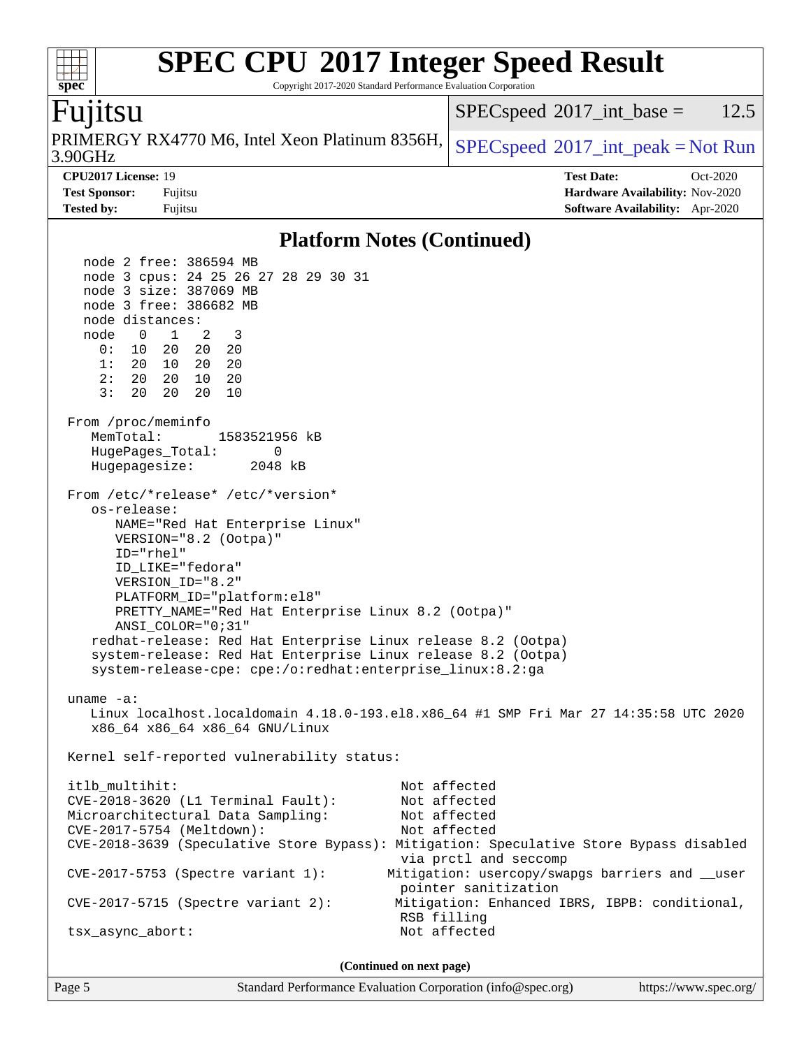### **[spec](http://www.spec.org/) [SPEC CPU](http://www.spec.org/auto/cpu2017/Docs/result-fields.html#SPECCPU2017IntegerSpeedResult)[2017 Integer Speed Result](http://www.spec.org/auto/cpu2017/Docs/result-fields.html#SPECCPU2017IntegerSpeedResult)** Copyright 2017-2020 Standard Performance Evaluation Corporation Fujitsu 3.90GHz PRIMERGY RX4770 M6, Intel Xeon Platinum 8356H,  $SPEC speed^{\circ}2017\_int\_peak = Not Run$  $SPEC speed^{\circ}2017\_int\_base = 12.5$ **[CPU2017 License:](http://www.spec.org/auto/cpu2017/Docs/result-fields.html#CPU2017License)** 19 **[Test Date:](http://www.spec.org/auto/cpu2017/Docs/result-fields.html#TestDate)** Oct-2020 **[Test Sponsor:](http://www.spec.org/auto/cpu2017/Docs/result-fields.html#TestSponsor)** Fujitsu **[Hardware Availability:](http://www.spec.org/auto/cpu2017/Docs/result-fields.html#HardwareAvailability)** Nov-2020 **[Tested by:](http://www.spec.org/auto/cpu2017/Docs/result-fields.html#Testedby)** Fujitsu **[Software Availability:](http://www.spec.org/auto/cpu2017/Docs/result-fields.html#SoftwareAvailability)** Apr-2020 **[Platform Notes \(Continued\)](http://www.spec.org/auto/cpu2017/Docs/result-fields.html#PlatformNotes)** node 2 free: 386594 MB node 3 cpus: 24 25 26 27 28 29 30 31 node 3 size: 387069 MB node 3 free: 386682 MB node distances: node 0 1 2 3 0: 10 20 20 20 1: 20 10 20 20 2: 20 20 10 20 3: 20 20 20 10 From /proc/meminfo MemTotal: 1583521956 kB HugePages\_Total: 0 Hugepagesize: 2048 kB From /etc/\*release\* /etc/\*version\* os-release: NAME="Red Hat Enterprise Linux" VERSION="8.2 (Ootpa)"

 Linux localhost.localdomain 4.18.0-193.el8.x86\_64 #1 SMP Fri Mar 27 14:35:58 UTC 2020 x86\_64 x86\_64 x86\_64 GNU/Linux

PLATFORM\_ID="platform:el8"

PRETTY\_NAME="Red Hat Enterprise Linux 8.2 (Ootpa)"

 redhat-release: Red Hat Enterprise Linux release 8.2 (Ootpa) system-release: Red Hat Enterprise Linux release 8.2 (Ootpa) system-release-cpe: cpe:/o:redhat:enterprise\_linux:8.2:ga

ID="rhel"

uname -a:

 ID\_LIKE="fedora" VERSION\_ID="8.2"

ANSI\_COLOR="0;31"

Kernel self-reported vulnerability status:

 itlb\_multihit: Not affected CVE-2018-3620 (L1 Terminal Fault): Not affected Microarchitectural Data Sampling: Not affected CVE-2017-5754 (Meltdown): Not affected CVE-2018-3639 (Speculative Store Bypass): Mitigation: Speculative Store Bypass disabled via prctl and seccomp CVE-2017-5753 (Spectre variant 1): Mitigation: usercopy/swapgs barriers and \_\_user pointer sanitization CVE-2017-5715 (Spectre variant 2): Mitigation: Enhanced IBRS, IBPB: conditional, RSB filling tsx\_async\_abort: Not affected

**(Continued on next page)**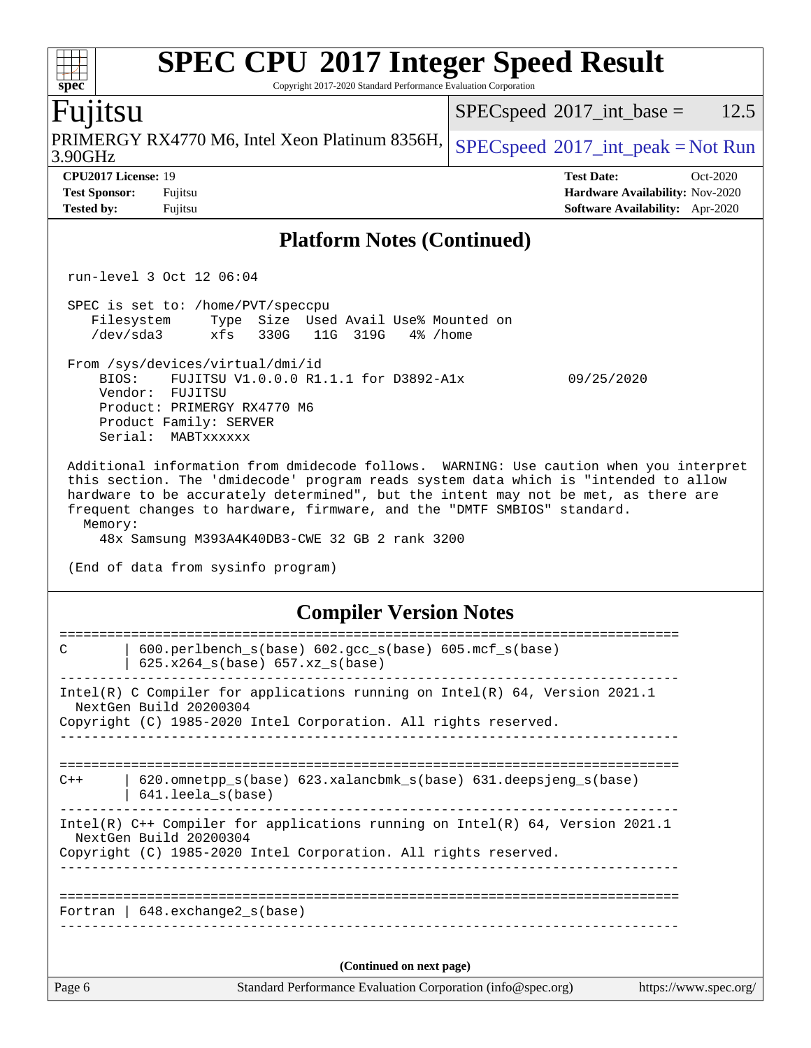| <b>SPEC CPU®2017 Integer Speed Result</b><br>Spec<br>Copyright 2017-2020 Standard Performance Evaluation Corporation                                                                                                                                                                                                                                                                                                                              |                                                                                                     |  |  |  |  |  |
|---------------------------------------------------------------------------------------------------------------------------------------------------------------------------------------------------------------------------------------------------------------------------------------------------------------------------------------------------------------------------------------------------------------------------------------------------|-----------------------------------------------------------------------------------------------------|--|--|--|--|--|
| Fujitsu                                                                                                                                                                                                                                                                                                                                                                                                                                           | 12.5<br>$SPEC speed^{\circ}2017\_int\_base =$                                                       |  |  |  |  |  |
| PRIMERGY RX4770 M6, Intel Xeon Platinum 8356H,<br>3.90GHz                                                                                                                                                                                                                                                                                                                                                                                         | $SPEC speed^{\circ}2017\_int\_peak = Not Run$                                                       |  |  |  |  |  |
| CPU2017 License: 19<br><b>Test Sponsor:</b><br>Fujitsu<br><b>Tested by:</b><br>Fujitsu                                                                                                                                                                                                                                                                                                                                                            | <b>Test Date:</b><br>Oct-2020<br>Hardware Availability: Nov-2020<br>Software Availability: Apr-2020 |  |  |  |  |  |
| <b>Platform Notes (Continued)</b>                                                                                                                                                                                                                                                                                                                                                                                                                 |                                                                                                     |  |  |  |  |  |
| run-level 3 Oct 12 06:04                                                                                                                                                                                                                                                                                                                                                                                                                          |                                                                                                     |  |  |  |  |  |
| SPEC is set to: /home/PVT/speccpu<br>Size Used Avail Use% Mounted on<br>Filesystem<br>Type<br>$/\text{dev/sda}$ 3<br>xfs<br>330G<br>11G<br>319G<br>4% /home                                                                                                                                                                                                                                                                                       |                                                                                                     |  |  |  |  |  |
| From /sys/devices/virtual/dmi/id<br>FUJITSU V1.0.0.0 R1.1.1 for D3892-A1x<br>BIOS:<br>09/25/2020<br>Vendor: FUJITSU<br>Product: PRIMERGY RX4770 M6<br>Product Family: SERVER<br>Serial:<br>MABTxxxxxx                                                                                                                                                                                                                                             |                                                                                                     |  |  |  |  |  |
| Additional information from dmidecode follows. WARNING: Use caution when you interpret<br>this section. The 'dmidecode' program reads system data which is "intended to allow<br>hardware to be accurately determined", but the intent may not be met, as there are<br>frequent changes to hardware, firmware, and the "DMTF SMBIOS" standard.<br>Memory:<br>48x Samsung M393A4K40DB3-CWE 32 GB 2 rank 3200<br>(End of data from sysinfo program) |                                                                                                     |  |  |  |  |  |
| <b>Compiler Version Notes</b>                                                                                                                                                                                                                                                                                                                                                                                                                     |                                                                                                     |  |  |  |  |  |
| 600.perlbench_s(base) 602.gcc_s(base) 605.mcf_s(base)<br>C<br>625.x264_s(base) 657.xz_s(base)                                                                                                                                                                                                                                                                                                                                                     |                                                                                                     |  |  |  |  |  |
| Intel(R) C Compiler for applications running on $Intel(R) 64$ , Version 2021.1<br>NextGen Build 20200304<br>Copyright (C) 1985-2020 Intel Corporation. All rights reserved.                                                                                                                                                                                                                                                                       |                                                                                                     |  |  |  |  |  |
| 620.omnetpp_s(base) 623.xalancbmk_s(base) 631.deepsjeng_s(base)<br>$C++$<br>641.leela_s(base)                                                                                                                                                                                                                                                                                                                                                     |                                                                                                     |  |  |  |  |  |
| Intel(R) C++ Compiler for applications running on Intel(R) 64, Version 2021.1<br>NextGen Build 20200304<br>Copyright (C) 1985-2020 Intel Corporation. All rights reserved.                                                                                                                                                                                                                                                                        |                                                                                                     |  |  |  |  |  |
| Fortran   648. exchange2_s(base)                                                                                                                                                                                                                                                                                                                                                                                                                  |                                                                                                     |  |  |  |  |  |
| (Continued on next page)                                                                                                                                                                                                                                                                                                                                                                                                                          |                                                                                                     |  |  |  |  |  |
| Page 6<br>Standard Performance Evaluation Corporation (info@spec.org)                                                                                                                                                                                                                                                                                                                                                                             | https://www.spec.org/                                                                               |  |  |  |  |  |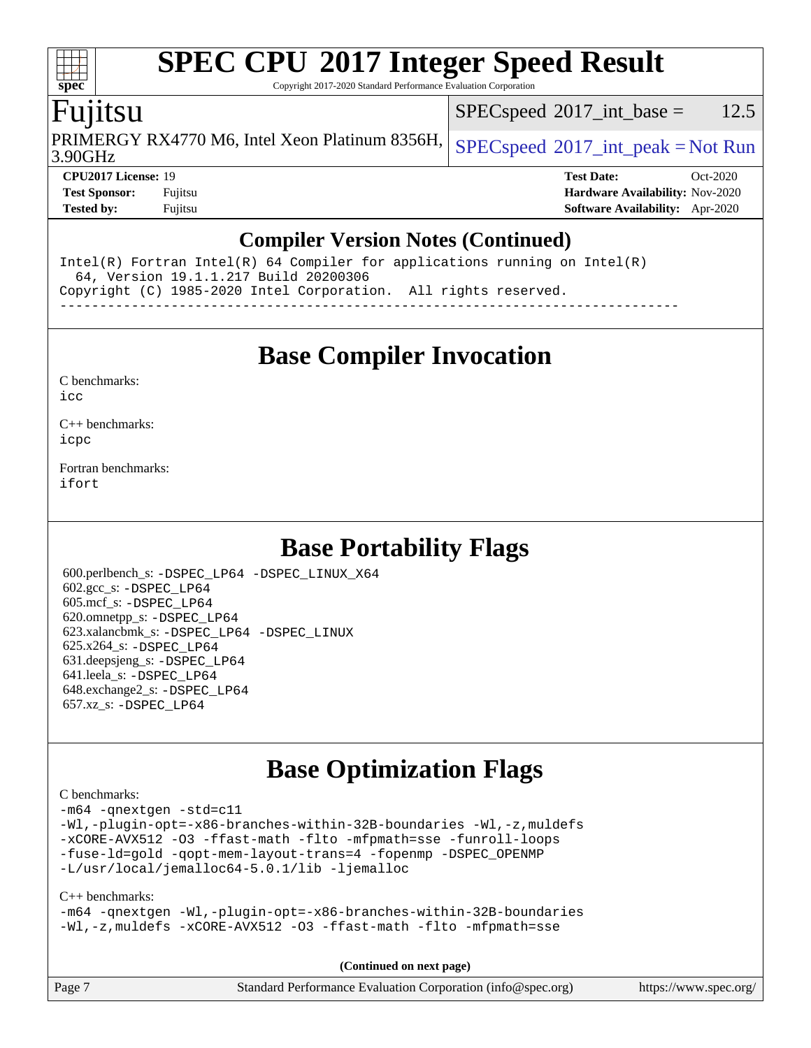Copyright 2017-2020 Standard Performance Evaluation Corporation

## Fujitsu

**[spec](http://www.spec.org/)**

 $\pm\pm$ 

3.90GHz PRIMERGY RX4770 M6, Intel Xeon Platinum 8356H,  $SPEC speed$  [2017\\_int\\_peak = N](http://www.spec.org/auto/cpu2017/Docs/result-fields.html#SPECspeed2017intpeak)ot Run

 $SPECspeed^{\circ}2017\_int\_base = 12.5$  $SPECspeed^{\circ}2017\_int\_base = 12.5$ 

**[CPU2017 License:](http://www.spec.org/auto/cpu2017/Docs/result-fields.html#CPU2017License)** 19 **[Test Date:](http://www.spec.org/auto/cpu2017/Docs/result-fields.html#TestDate)** Oct-2020 **[Test Sponsor:](http://www.spec.org/auto/cpu2017/Docs/result-fields.html#TestSponsor)** Fujitsu **[Hardware Availability:](http://www.spec.org/auto/cpu2017/Docs/result-fields.html#HardwareAvailability)** Nov-2020 **[Tested by:](http://www.spec.org/auto/cpu2017/Docs/result-fields.html#Testedby)** Fujitsu **[Software Availability:](http://www.spec.org/auto/cpu2017/Docs/result-fields.html#SoftwareAvailability)** Apr-2020

### **[Compiler Version Notes \(Continued\)](http://www.spec.org/auto/cpu2017/Docs/result-fields.html#CompilerVersionNotes)**

Intel(R) Fortran Intel(R) 64 Compiler for applications running on Intel(R) 64, Version 19.1.1.217 Build 20200306 Copyright (C) 1985-2020 Intel Corporation. All rights reserved. ------------------------------------------------------------------------------

**[Base Compiler Invocation](http://www.spec.org/auto/cpu2017/Docs/result-fields.html#BaseCompilerInvocation)**

| C benchmarks: |
|---------------|
|               |

[icc](http://www.spec.org/cpu2017/results/res2020q4/cpu2017-20201013-24202.flags.html#user_CCbase_intel_icc_66fc1ee009f7361af1fbd72ca7dcefbb700085f36577c54f309893dd4ec40d12360134090235512931783d35fd58c0460139e722d5067c5574d8eaf2b3e37e92)

[C++ benchmarks:](http://www.spec.org/auto/cpu2017/Docs/result-fields.html#CXXbenchmarks) [icpc](http://www.spec.org/cpu2017/results/res2020q4/cpu2017-20201013-24202.flags.html#user_CXXbase_intel_icpc_c510b6838c7f56d33e37e94d029a35b4a7bccf4766a728ee175e80a419847e808290a9b78be685c44ab727ea267ec2f070ec5dc83b407c0218cded6866a35d07)

[Fortran benchmarks](http://www.spec.org/auto/cpu2017/Docs/result-fields.html#Fortranbenchmarks): [ifort](http://www.spec.org/cpu2017/results/res2020q4/cpu2017-20201013-24202.flags.html#user_FCbase_intel_ifort_8111460550e3ca792625aed983ce982f94888b8b503583aa7ba2b8303487b4d8a21a13e7191a45c5fd58ff318f48f9492884d4413fa793fd88dd292cad7027ca)

## **[Base Portability Flags](http://www.spec.org/auto/cpu2017/Docs/result-fields.html#BasePortabilityFlags)**

 600.perlbench\_s: [-DSPEC\\_LP64](http://www.spec.org/cpu2017/results/res2020q4/cpu2017-20201013-24202.flags.html#b600.perlbench_s_basePORTABILITY_DSPEC_LP64) [-DSPEC\\_LINUX\\_X64](http://www.spec.org/cpu2017/results/res2020q4/cpu2017-20201013-24202.flags.html#b600.perlbench_s_baseCPORTABILITY_DSPEC_LINUX_X64) 602.gcc\_s: [-DSPEC\\_LP64](http://www.spec.org/cpu2017/results/res2020q4/cpu2017-20201013-24202.flags.html#suite_basePORTABILITY602_gcc_s_DSPEC_LP64) 605.mcf\_s: [-DSPEC\\_LP64](http://www.spec.org/cpu2017/results/res2020q4/cpu2017-20201013-24202.flags.html#suite_basePORTABILITY605_mcf_s_DSPEC_LP64) 620.omnetpp\_s: [-DSPEC\\_LP64](http://www.spec.org/cpu2017/results/res2020q4/cpu2017-20201013-24202.flags.html#suite_basePORTABILITY620_omnetpp_s_DSPEC_LP64) 623.xalancbmk\_s: [-DSPEC\\_LP64](http://www.spec.org/cpu2017/results/res2020q4/cpu2017-20201013-24202.flags.html#suite_basePORTABILITY623_xalancbmk_s_DSPEC_LP64) [-DSPEC\\_LINUX](http://www.spec.org/cpu2017/results/res2020q4/cpu2017-20201013-24202.flags.html#b623.xalancbmk_s_baseCXXPORTABILITY_DSPEC_LINUX) 625.x264\_s: [-DSPEC\\_LP64](http://www.spec.org/cpu2017/results/res2020q4/cpu2017-20201013-24202.flags.html#suite_basePORTABILITY625_x264_s_DSPEC_LP64) 631.deepsjeng\_s: [-DSPEC\\_LP64](http://www.spec.org/cpu2017/results/res2020q4/cpu2017-20201013-24202.flags.html#suite_basePORTABILITY631_deepsjeng_s_DSPEC_LP64) 641.leela\_s: [-DSPEC\\_LP64](http://www.spec.org/cpu2017/results/res2020q4/cpu2017-20201013-24202.flags.html#suite_basePORTABILITY641_leela_s_DSPEC_LP64) 648.exchange2\_s: [-DSPEC\\_LP64](http://www.spec.org/cpu2017/results/res2020q4/cpu2017-20201013-24202.flags.html#suite_basePORTABILITY648_exchange2_s_DSPEC_LP64) 657.xz\_s: [-DSPEC\\_LP64](http://www.spec.org/cpu2017/results/res2020q4/cpu2017-20201013-24202.flags.html#suite_basePORTABILITY657_xz_s_DSPEC_LP64)

## **[Base Optimization Flags](http://www.spec.org/auto/cpu2017/Docs/result-fields.html#BaseOptimizationFlags)**

### [C benchmarks](http://www.spec.org/auto/cpu2017/Docs/result-fields.html#Cbenchmarks):

[-m64](http://www.spec.org/cpu2017/results/res2020q4/cpu2017-20201013-24202.flags.html#user_CCbase_m64-icc) [-qnextgen](http://www.spec.org/cpu2017/results/res2020q4/cpu2017-20201013-24202.flags.html#user_CCbase_f-qnextgen) [-std=c11](http://www.spec.org/cpu2017/results/res2020q4/cpu2017-20201013-24202.flags.html#user_CCbase_std-icc-std_0e1c27790398a4642dfca32ffe6c27b5796f9c2d2676156f2e42c9c44eaad0c049b1cdb667a270c34d979996257aeb8fc440bfb01818dbc9357bd9d174cb8524) [-Wl,-plugin-opt=-x86-branches-within-32B-boundaries](http://www.spec.org/cpu2017/results/res2020q4/cpu2017-20201013-24202.flags.html#user_CCbase_f-x86-branches-within-32B-boundaries_0098b4e4317ae60947b7b728078a624952a08ac37a3c797dfb4ffeb399e0c61a9dd0f2f44ce917e9361fb9076ccb15e7824594512dd315205382d84209e912f3) [-Wl,-z,muldefs](http://www.spec.org/cpu2017/results/res2020q4/cpu2017-20201013-24202.flags.html#user_CCbase_link_force_multiple1_b4cbdb97b34bdee9ceefcfe54f4c8ea74255f0b02a4b23e853cdb0e18eb4525ac79b5a88067c842dd0ee6996c24547a27a4b99331201badda8798ef8a743f577) [-xCORE-AVX512](http://www.spec.org/cpu2017/results/res2020q4/cpu2017-20201013-24202.flags.html#user_CCbase_f-xCORE-AVX512) [-O3](http://www.spec.org/cpu2017/results/res2020q4/cpu2017-20201013-24202.flags.html#user_CCbase_f-O3) [-ffast-math](http://www.spec.org/cpu2017/results/res2020q4/cpu2017-20201013-24202.flags.html#user_CCbase_f-ffast-math) [-flto](http://www.spec.org/cpu2017/results/res2020q4/cpu2017-20201013-24202.flags.html#user_CCbase_f-flto) [-mfpmath=sse](http://www.spec.org/cpu2017/results/res2020q4/cpu2017-20201013-24202.flags.html#user_CCbase_f-mfpmath_70eb8fac26bde974f8ab713bc9086c5621c0b8d2f6c86f38af0bd7062540daf19db5f3a066d8c6684be05d84c9b6322eb3b5be6619d967835195b93d6c02afa1) [-funroll-loops](http://www.spec.org/cpu2017/results/res2020q4/cpu2017-20201013-24202.flags.html#user_CCbase_f-funroll-loops) [-fuse-ld=gold](http://www.spec.org/cpu2017/results/res2020q4/cpu2017-20201013-24202.flags.html#user_CCbase_f-fuse-ld_920b3586e2b8c6e0748b9c84fa9b744736ba725a32cab14ad8f3d4ad28eecb2f59d1144823d2e17006539a88734fe1fc08fc3035f7676166309105a78aaabc32) [-qopt-mem-layout-trans=4](http://www.spec.org/cpu2017/results/res2020q4/cpu2017-20201013-24202.flags.html#user_CCbase_f-qopt-mem-layout-trans_fa39e755916c150a61361b7846f310bcdf6f04e385ef281cadf3647acec3f0ae266d1a1d22d972a7087a248fd4e6ca390a3634700869573d231a252c784941a8) [-fopenmp](http://www.spec.org/cpu2017/results/res2020q4/cpu2017-20201013-24202.flags.html#user_CCbase_fopenmp_5aa2e47ce4f2ef030ba5d12d5a7a9c4e57167333d78243fcadb80b48d5abb78ff19333f8478e0b2a41e63049eb285965c145ccab7b93db7d0c4d59e4dc6f5591) [-DSPEC\\_OPENMP](http://www.spec.org/cpu2017/results/res2020q4/cpu2017-20201013-24202.flags.html#suite_CCbase_DSPEC_OPENMP) [-L/usr/local/jemalloc64-5.0.1/lib](http://www.spec.org/cpu2017/results/res2020q4/cpu2017-20201013-24202.flags.html#user_CCbase_jemalloc_link_path64_1_cc289568b1a6c0fd3b62c91b824c27fcb5af5e8098e6ad028160d21144ef1b8aef3170d2acf0bee98a8da324cfe4f67d0a3d0c4cc4673d993d694dc2a0df248b) [-ljemalloc](http://www.spec.org/cpu2017/results/res2020q4/cpu2017-20201013-24202.flags.html#user_CCbase_jemalloc_link_lib_d1249b907c500fa1c0672f44f562e3d0f79738ae9e3c4a9c376d49f265a04b9c99b167ecedbf6711b3085be911c67ff61f150a17b3472be731631ba4d0471706)

### [C++ benchmarks:](http://www.spec.org/auto/cpu2017/Docs/result-fields.html#CXXbenchmarks)

[-m64](http://www.spec.org/cpu2017/results/res2020q4/cpu2017-20201013-24202.flags.html#user_CXXbase_m64-icc) [-qnextgen](http://www.spec.org/cpu2017/results/res2020q4/cpu2017-20201013-24202.flags.html#user_CXXbase_f-qnextgen) [-Wl,-plugin-opt=-x86-branches-within-32B-boundaries](http://www.spec.org/cpu2017/results/res2020q4/cpu2017-20201013-24202.flags.html#user_CXXbase_f-x86-branches-within-32B-boundaries_0098b4e4317ae60947b7b728078a624952a08ac37a3c797dfb4ffeb399e0c61a9dd0f2f44ce917e9361fb9076ccb15e7824594512dd315205382d84209e912f3) [-Wl,-z,muldefs](http://www.spec.org/cpu2017/results/res2020q4/cpu2017-20201013-24202.flags.html#user_CXXbase_link_force_multiple1_b4cbdb97b34bdee9ceefcfe54f4c8ea74255f0b02a4b23e853cdb0e18eb4525ac79b5a88067c842dd0ee6996c24547a27a4b99331201badda8798ef8a743f577) [-xCORE-AVX512](http://www.spec.org/cpu2017/results/res2020q4/cpu2017-20201013-24202.flags.html#user_CXXbase_f-xCORE-AVX512) [-O3](http://www.spec.org/cpu2017/results/res2020q4/cpu2017-20201013-24202.flags.html#user_CXXbase_f-O3) [-ffast-math](http://www.spec.org/cpu2017/results/res2020q4/cpu2017-20201013-24202.flags.html#user_CXXbase_f-ffast-math) [-flto](http://www.spec.org/cpu2017/results/res2020q4/cpu2017-20201013-24202.flags.html#user_CXXbase_f-flto) [-mfpmath=sse](http://www.spec.org/cpu2017/results/res2020q4/cpu2017-20201013-24202.flags.html#user_CXXbase_f-mfpmath_70eb8fac26bde974f8ab713bc9086c5621c0b8d2f6c86f38af0bd7062540daf19db5f3a066d8c6684be05d84c9b6322eb3b5be6619d967835195b93d6c02afa1)

**(Continued on next page)**

| Page 7 | Standard Performance Evaluation Corporation (info@spec.org) | https://www.spec.org/ |
|--------|-------------------------------------------------------------|-----------------------|